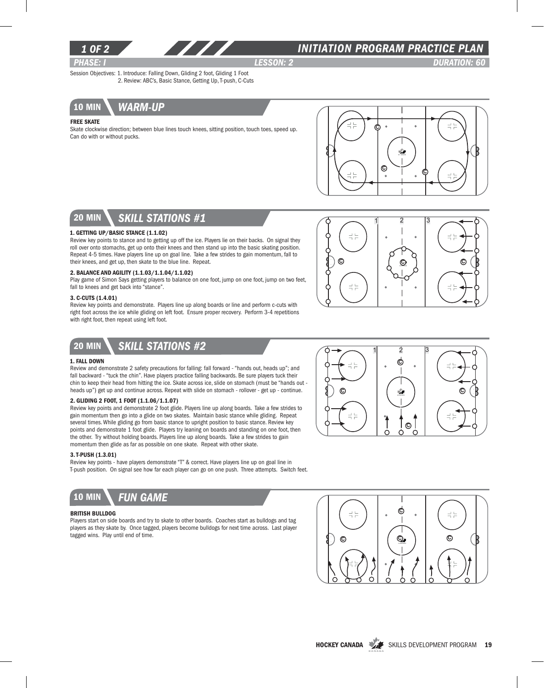

### *1 of 2 INITIATION program PRACTICE PLAN*

*PHASE: I lesson: 2 DURATION: 60* 

Session Objectives: 1. Introduce: Falling Down, Gliding 2 foot, Gliding 1 Foot 2. Review: ABC's, Basic Stance, Getting Up, T-push, C-Cuts



#### Free Skate

Skate clockwise direction; between blue lines touch knees, sitting position, touch toes, speed up. Can do with or without pucks.



# 20 min *skill stations #1*

#### 1. Getting Up/Basic Stance (1.1.02)

Review key points to stance and to getting up off the ice. Players lie on their backs. On signal they roll over onto stomachs, get up onto their knees and then stand up into the basic skating position. Repeat 4-5 times. Have players line up on goal line. Take a few strides to gain momentum, fall to their knees, and get up, then skate to the blue line. Repeat.

#### 2. Balance and Agility (1.1.03/1.1.04/1.1.02)

Play game of Simon Says getting players to balance on one foot, jump on one foot, jump on two feet, fall to knees and get back into "stance".

#### 3. C-Cuts (1.4.01)

Review key points and demonstrate. Players line up along boards or line and perform c-cuts with right foot across the ice while gliding on left foot. Ensure proper recovery. Perform 3-4 repetitions with right foot, then repeat using left foot.





### 1. Fall Down

Review and demonstrate 2 safety precautions for falling: fall forward - "hands out, heads up"; and fall backward - "tuck the chin". Have players practice falling backwards. Be sure players tuck their chin to keep their head from hitting the ice. Skate across ice, slide on stomach (must be "hands out heads up") get up and continue across. Repeat with slide on stomach - rollover - get up - continue.

#### 2. Gliding 2 foot, 1 foot (1.1.06/1.1.07)

Review key points and demonstrate 2 foot glide. Players line up along boards. Take a few strides to gain momentum then go into a glide on two skates. Maintain basic stance while gliding. Repeat several times. While gliding go from basic stance to upright position to basic stance. Review key points and demonstrate 1 foot glide. Players try leaning on boards and standing on one foot, then the other. Try without holding boards. Players line up along boards. Take a few strides to gain momentum then glide as far as possible on one skate. Repeat with other skate.

#### 3. T-Push (1.3.01)

Review key points - have players demonstrate "T" & correct. Have players line up on goal line in T-push position. On signal see how far each player can go on one push. Three attempts. Switch feet.



#### British Bulldog

Players start on side boards and try to skate to other boards. Coaches start as bulldogs and tag players as they skate by. Once tagged, players become bulldogs for next time across. Last player tagged wins. Play until end of time.





HOCKEY CANADA SKILLS DEVELOPMENT PROGRAM 19